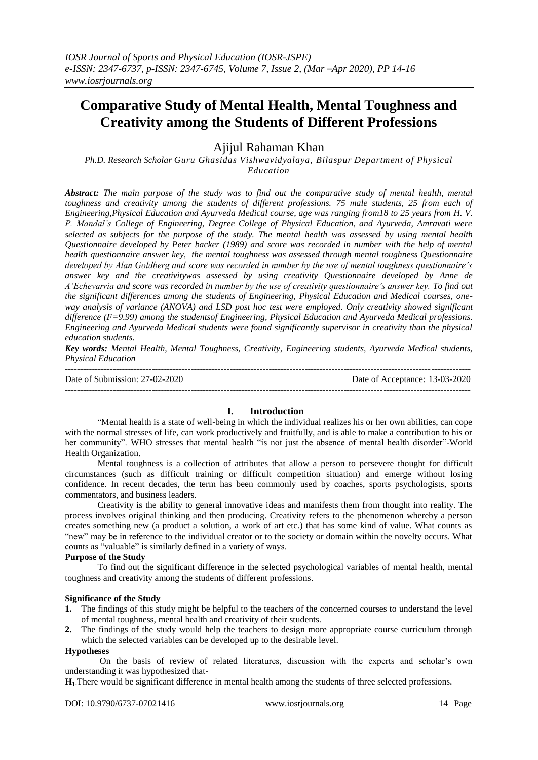# **Comparative Study of Mental Health, Mental Toughness and Creativity among the Students of Different Professions**

Ajijul Rahaman Khan

*Ph.D. Research Scholar Guru Ghasidas Vishwavidyalaya, Bilaspur Department of Physical Education*

*Abstract: The main purpose of the study was to find out the comparative study of mental health, mental toughness and creativity among the students of different professions. 75 male students, 25 from each of Engineering,Physical Education and Ayurveda Medical course, age was ranging from18 to 25 years from H. V. P. Mandal's College of Engineering, Degree College of Physical Education, and Ayurveda, Amravati were selected as subjects for the purpose of the study. The mental health was assessed by using mental health Questionnaire developed by Peter backer (1989) and score was recorded in number with the help of mental health questionnaire answer key, the mental toughness was assessed through mental toughness Questionnaire developed by Alan Goldberg and score was recorded in number by the use of mental toughness questionnaire's answer key and the creativitywas assessed by using creativity Questionnaire developed by Anne de A'Echevarria and score was recorded in number by the use of creativity questionnaire's answer key. To find out the significant differences among the students of Engineering, Physical Education and Medical courses, oneway analysis of variance (ANOVA) and LSD post hoc test were employed. Only creativity showed significant difference (F=9.99) among the studentsof Engineering, Physical Education and Ayurveda Medical professions. Engineering and Ayurveda Medical students were found significantly supervisor in creativity than the physical education students.*

*Key words: Mental Health, Mental Toughness, Creativity, Engineering students, Ayurveda Medical students, Physical Education*

--------------------------------------------------------------------------------------------------------------------------------------- Date of Submission: 27-02-2020 Date of Acceptance: 13-03-2020 ---------------------------------------------------------------------------------------------------------------------------------------

# **I. Introduction**

"Mental health is a state of well-being in which the individual realizes his or her own abilities, can cope with the normal stresses of life, can work productively and fruitfully, and is able to make a contribution to his or her community". WHO stresses that mental health "is not just the absence of mental health disorder"-World Health Organization.

Mental toughness is a collection of attributes that allow a person to persevere thought for difficult circumstances (such as difficult training or difficult competition situation) and emerge without losing confidence. In recent decades, the term has been commonly used by coaches, sports psychologists, sports commentators, and business leaders.

Creativity is the ability to general innovative ideas and manifests them from thought into reality. The process involves original thinking and then producing. Creativity refers to the phenomenon whereby a person creates something new (a product a solution, a work of art etc.) that has some kind of value. What counts as "new" may be in reference to the individual creator or to the society or domain within the novelty occurs. What counts as "valuable" is similarly defined in a variety of ways.

## **Purpose of the Study**

To find out the significant difference in the selected psychological variables of mental health, mental toughness and creativity among the students of different professions.

## **Significance of the Study**

- **1.** The findings of this study might be helpful to the teachers of the concerned courses to understand the level of mental toughness, mental health and creativity of their students.
- **2.** The findings of the study would help the teachers to design more appropriate course curriculum through which the selected variables can be developed up to the desirable level.

#### **Hypotheses**

On the basis of review of related literatures, discussion with the experts and scholar's own understanding it was hypothesized that-

**H1-**There would be significant difference in mental health among the students of three selected professions.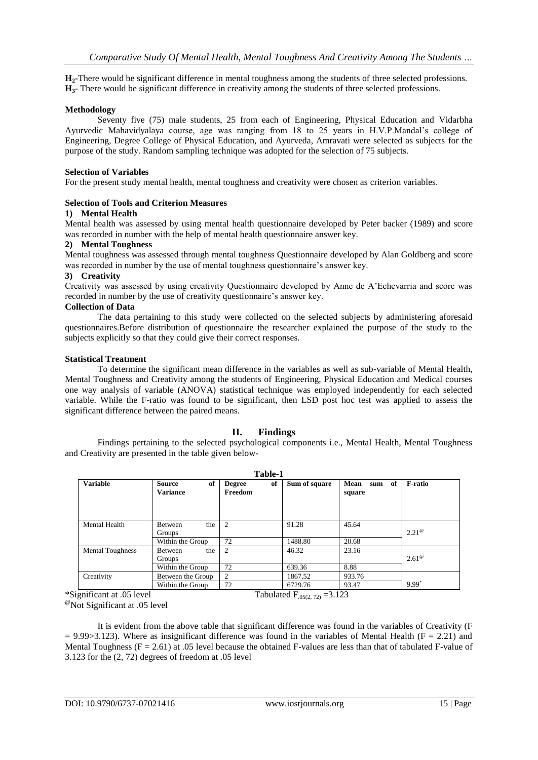**H2-**There would be significant difference in mental toughness among the students of three selected professions. **H3-** There would be significant difference in creativity among the students of three selected professions.

#### **Methodology**

Seventy five (75) male students, 25 from each of Engineering, Physical Education and Vidarbha Ayurvedic Mahavidyalaya course, age was ranging from 18 to 25 years in H.V.P.Mandal's college of Engineering, Degree College of Physical Education, and Ayurveda, Amravati were selected as subjects for the purpose of the study. Random sampling technique was adopted for the selection of 75 subjects.

## **Selection of Variables**

For the present study mental health, mental toughness and creativity were chosen as criterion variables.

## **Selection of Tools and Criterion Measures**

# **1) Mental Health**

Mental health was assessed by using mental health questionnaire developed by Peter backer (1989) and score was recorded in number with the help of mental health questionnaire answer key.

#### **2) Mental Toughness**

Mental toughness was assessed through mental toughness Questionnaire developed by Alan Goldberg and score was recorded in number by the use of mental toughness questionnaire's answer key.

#### **3) Creativity**

Creativity was assessed by using creativity Questionnaire developed by Anne de A'Echevarria and score was recorded in number by the use of creativity questionnaire's answer key.

## **Collection of Data**

The data pertaining to this study were collected on the selected subjects by administering aforesaid questionnaires.Before distribution of questionnaire the researcher explained the purpose of the study to the subjects explicitly so that they could give their correct responses.

#### **Statistical Treatment**

To determine the significant mean difference in the variables as well as sub-variable of Mental Health, Mental Toughness and Creativity among the students of Engineering, Physical Education and Medical courses one way analysis of variable (ANOVA) statistical technique was employed independently for each selected variable. While the F-ratio was found to be significant, then LSD post hoc test was applied to assess the significant difference between the paired means.

# **II. Findings**

Findings pertaining to the selected psychological components i.e., Mental Health, Mental Toughness and Creativity are presented in the table given below-

| Table-1                 |                                        |                                |               |                             |                |  |  |
|-------------------------|----------------------------------------|--------------------------------|---------------|-----------------------------|----------------|--|--|
| <b>Variable</b>         | of<br><b>Source</b><br><b>Variance</b> | of<br><b>Degree</b><br>Freedom | Sum of square | Mean<br>of<br>sum<br>square | <b>F-ratio</b> |  |  |
| Mental Health           | the<br><b>Between</b><br>Groups        | 2                              | 91.28         | 45.64                       | $2.21^{\circ}$ |  |  |
|                         | Within the Group                       | 72                             | 1488.80       | 20.68                       |                |  |  |
| <b>Mental Toughness</b> | the<br><b>Between</b><br>Groups        | 2                              | 46.32         | 23.16                       | $2.61^\circ$   |  |  |
|                         | Within the Group                       | 72                             | 639.36        | 8.88                        |                |  |  |
| Creativity              | Between the Group                      | 2                              | 1867.52       | 933.76                      |                |  |  |
|                         | Within the Group                       | 72                             | 6729.76       | 93.47                       | 9.99           |  |  |

 $^{\circ\circ}$ Not Significant at .05 level

It is evident from the above table that significant difference was found in the variables of Creativity (F  $= 9.99 \times 3.123$ ). Where as insignificant difference was found in the variables of Mental Health (F = 2.21) and Mental Toughness ( $F = 2.61$ ) at .05 level because the obtained F-values are less than that of tabulated F-value of 3.123 for the (2, 72) degrees of freedom at .05 level

<sup>\*</sup>Significant at .05 level Tabulated F<sub>.05(2, 72)</sub> =3.123